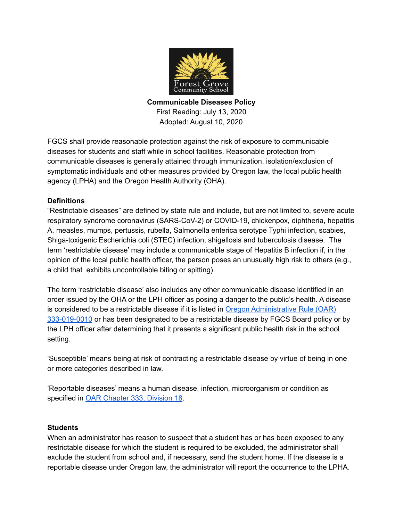

**Communicable Diseases Policy** First Reading: July 13, 2020 Adopted: August 10, 2020

FGCS shall provide reasonable protection against the risk of exposure to communicable diseases for students and staff while in school facilities. Reasonable protection from communicable diseases is generally attained through immunization, isolation/exclusion of symptomatic individuals and other measures provided by Oregon law, the local public health agency (LPHA) and the Oregon Health Authority (OHA).

# **Definitions**

"Restrictable diseases" are defined by state rule and include, but are not limited to, severe acute respiratory syndrome coronavirus (SARS-CoV-2) or COVID-19, chickenpox, diphtheria, hepatitis A, measles, mumps, pertussis, rubella, Salmonella enterica serotype Typhi infection, scabies, Shiga-toxigenic Escherichia coli (STEC) infection, shigellosis and tuberculosis disease. The term 'restrictable disease' may include a communicable stage of Hepatitis B infection if, in the opinion of the local public health officer, the person poses an unusually high risk to others (e.g., a child that exhibits uncontrollable biting or spitting).

The term 'restrictable disease' also includes any other communicable disease identified in an order issued by the OHA or the LPH officer as posing a danger to the public's health. A disease is considered to be a restrictable disease if it is listed in Oregon [Administrative](https://secure.sos.state.or.us/oard/viewSingleRule.action?ruleVrsnRsn=268997) Rule (OAR) [333-019-0010](https://secure.sos.state.or.us/oard/viewSingleRule.action?ruleVrsnRsn=268997) or has been designated to be a restrictable disease by FGCS Board policy or by the LPH officer after determining that it presents a significant public health risk in the school setting.

'Susceptible' means being at risk of contracting a restrictable disease by virtue of being in one or more categories described in law.

'Reportable diseases' means a human disease, infection, microorganism or condition as specified in OAR [Chapter](https://secure.sos.state.or.us/oard/displayDivisionRules.action?selectedDivision=1233) 333, Division 18.

# **Students**

When an administrator has reason to suspect that a student has or has been exposed to any restrictable disease for which the student is required to be excluded, the administrator shall exclude the student from school and, if necessary, send the student home. If the disease is a reportable disease under Oregon law, the administrator will report the occurrence to the LPHA.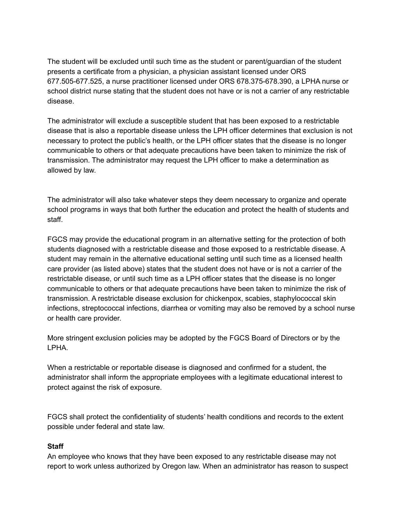The student will be excluded until such time as the student or parent/guardian of the student presents a certificate from a physician, a physician assistant licensed under ORS 677.505-677.525, a nurse practitioner licensed under ORS 678.375-678.390, a LPHA nurse or school district nurse stating that the student does not have or is not a carrier of any restrictable disease.

The administrator will exclude a susceptible student that has been exposed to a restrictable disease that is also a reportable disease unless the LPH officer determines that exclusion is not necessary to protect the public's health, or the LPH officer states that the disease is no longer communicable to others or that adequate precautions have been taken to minimize the risk of transmission. The administrator may request the LPH officer to make a determination as allowed by law.

The administrator will also take whatever steps they deem necessary to organize and operate school programs in ways that both further the education and protect the health of students and staff.

FGCS may provide the educational program in an alternative setting for the protection of both students diagnosed with a restrictable disease and those exposed to a restrictable disease. A student may remain in the alternative educational setting until such time as a licensed health care provider (as listed above) states that the student does not have or is not a carrier of the restrictable disease, or until such time as a LPH officer states that the disease is no longer communicable to others or that adequate precautions have been taken to minimize the risk of transmission. A restrictable disease exclusion for chickenpox, scabies, staphylococcal skin infections, streptococcal infections, diarrhea or vomiting may also be removed by a school nurse or health care provider.

More stringent exclusion policies may be adopted by the FGCS Board of Directors or by the LPHA.

When a restrictable or reportable disease is diagnosed and confirmed for a student, the administrator shall inform the appropriate employees with a legitimate educational interest to protect against the risk of exposure.

FGCS shall protect the confidentiality of students' health conditions and records to the extent possible under federal and state law.

### **Staff**

An employee who knows that they have been exposed to any restrictable disease may not report to work unless authorized by Oregon law. When an administrator has reason to suspect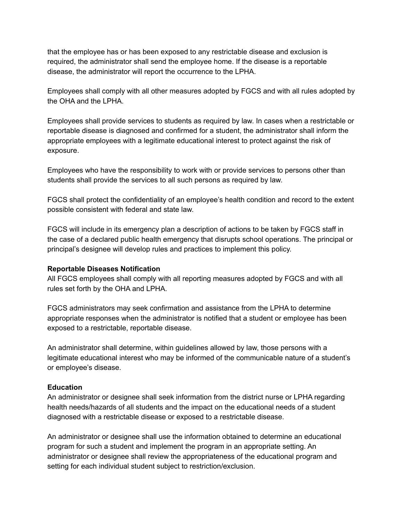that the employee has or has been exposed to any restrictable disease and exclusion is required, the administrator shall send the employee home. If the disease is a reportable disease, the administrator will report the occurrence to the LPHA.

Employees shall comply with all other measures adopted by FGCS and with all rules adopted by the OHA and the LPHA.

Employees shall provide services to students as required by law. In cases when a restrictable or reportable disease is diagnosed and confirmed for a student, the administrator shall inform the appropriate employees with a legitimate educational interest to protect against the risk of exposure.

Employees who have the responsibility to work with or provide services to persons other than students shall provide the services to all such persons as required by law.

FGCS shall protect the confidentiality of an employee's health condition and record to the extent possible consistent with federal and state law.

FGCS will include in its emergency plan a description of actions to be taken by FGCS staff in the case of a declared public health emergency that disrupts school operations. The principal or principal's designee will develop rules and practices to implement this policy.

### **Reportable Diseases Notification**

All FGCS employees shall comply with all reporting measures adopted by FGCS and with all rules set forth by the OHA and LPHA.

FGCS administrators may seek confirmation and assistance from the LPHA to determine appropriate responses when the administrator is notified that a student or employee has been exposed to a restrictable, reportable disease.

An administrator shall determine, within guidelines allowed by law, those persons with a legitimate educational interest who may be informed of the communicable nature of a student's or employee's disease.

### **Education**

An administrator or designee shall seek information from the district nurse or LPHA regarding health needs/hazards of all students and the impact on the educational needs of a student diagnosed with a restrictable disease or exposed to a restrictable disease.

An administrator or designee shall use the information obtained to determine an educational program for such a student and implement the program in an appropriate setting. An administrator or designee shall review the appropriateness of the educational program and setting for each individual student subject to restriction/exclusion.